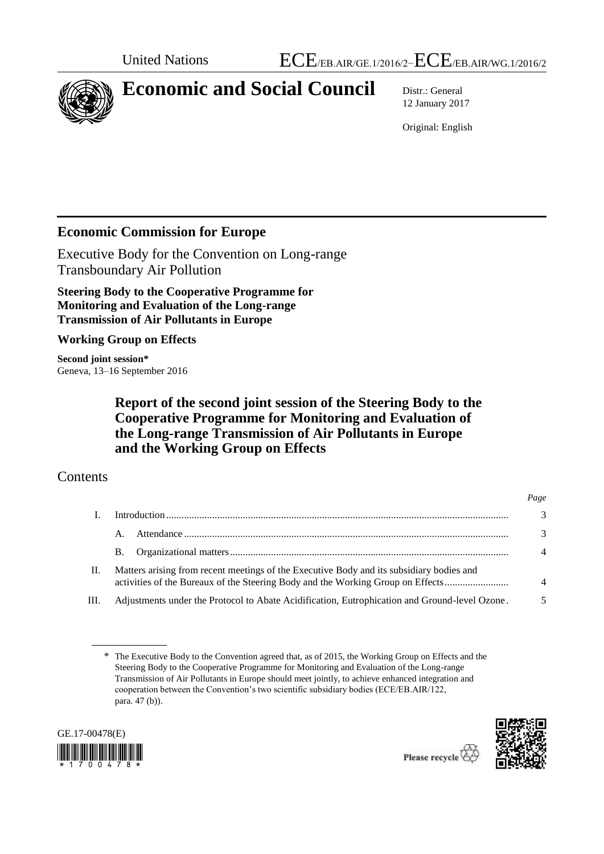

# **Economic and Social Council** Distr.: General

12 January 2017

Original: English

# **Economic Commission for Europe**

Executive Body for the Convention on Long-range Transboundary Air Pollution

**Steering Body to the Cooperative Programme for Monitoring and Evaluation of the Long-range Transmission of Air Pollutants in Europe**

**Working Group on Effects**

**Second joint session\*** Geneva, 13–16 September 2016

> **Report of the second joint session of the Steering Body to the Cooperative Programme for Monitoring and Evaluation of the Long-range Transmission of Air Pollutants in Europe and the Working Group on Effects**

# Contents

|      |                                                                                                                                                                             | Page           |  |
|------|-----------------------------------------------------------------------------------------------------------------------------------------------------------------------------|----------------|--|
|      |                                                                                                                                                                             | 3              |  |
|      | A.                                                                                                                                                                          | 3              |  |
|      | В.                                                                                                                                                                          | $\overline{4}$ |  |
| П.   | Matters arising from recent meetings of the Executive Body and its subsidiary bodies and<br>activities of the Bureaux of the Steering Body and the Working Group on Effects |                |  |
| III. | Adjustments under the Protocol to Abate Acidification, Eutrophication and Ground-level Ozone.                                                                               |                |  |

<sup>\*</sup> The Executive Body to the Convention agreed that, as of 2015, the Working Group on Effects and the Steering Body to the Cooperative Programme for Monitoring and Evaluation of the Long-range Transmission of Air Pollutants in Europe should meet jointly, to achieve enhanced integration and cooperation between the Convention's two scientific subsidiary bodies (ECE/EB.AIR/122, para. 47 (b)).



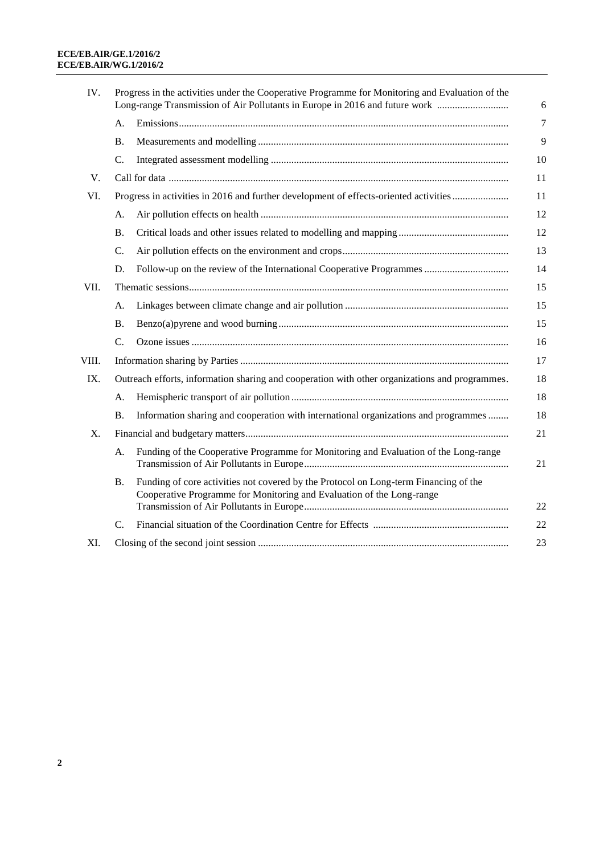| IV.   |           | Progress in the activities under the Cooperative Programme for Monitoring and Evaluation of the<br>Long-range Transmission of Air Pollutants in Europe in 2016 and future work | 6  |
|-------|-----------|--------------------------------------------------------------------------------------------------------------------------------------------------------------------------------|----|
|       | А.        |                                                                                                                                                                                | 7  |
|       | <b>B.</b> |                                                                                                                                                                                | 9  |
|       | C.        |                                                                                                                                                                                | 10 |
| V.    |           |                                                                                                                                                                                | 11 |
| VI.   |           | Progress in activities in 2016 and further development of effects-oriented activities                                                                                          | 11 |
|       | A.        |                                                                                                                                                                                | 12 |
|       | В.        |                                                                                                                                                                                | 12 |
|       | C.        |                                                                                                                                                                                | 13 |
|       | D.        | Follow-up on the review of the International Cooperative Programmes                                                                                                            | 14 |
| VII.  |           |                                                                                                                                                                                |    |
|       | A.        |                                                                                                                                                                                | 15 |
|       | <b>B.</b> |                                                                                                                                                                                | 15 |
|       | C.        |                                                                                                                                                                                | 16 |
| VIII. |           |                                                                                                                                                                                | 17 |
| IX.   |           | Outreach efforts, information sharing and cooperation with other organizations and programmes.                                                                                 | 18 |
|       | A.        |                                                                                                                                                                                | 18 |
|       | В.        | Information sharing and cooperation with international organizations and programmes                                                                                            | 18 |
| Χ.    |           |                                                                                                                                                                                | 21 |
|       | A.        | Funding of the Cooperative Programme for Monitoring and Evaluation of the Long-range                                                                                           | 21 |
|       | Β.        | Funding of core activities not covered by the Protocol on Long-term Financing of the<br>Cooperative Programme for Monitoring and Evaluation of the Long-range                  | 22 |
|       | C.        |                                                                                                                                                                                | 22 |
| XI.   |           |                                                                                                                                                                                | 23 |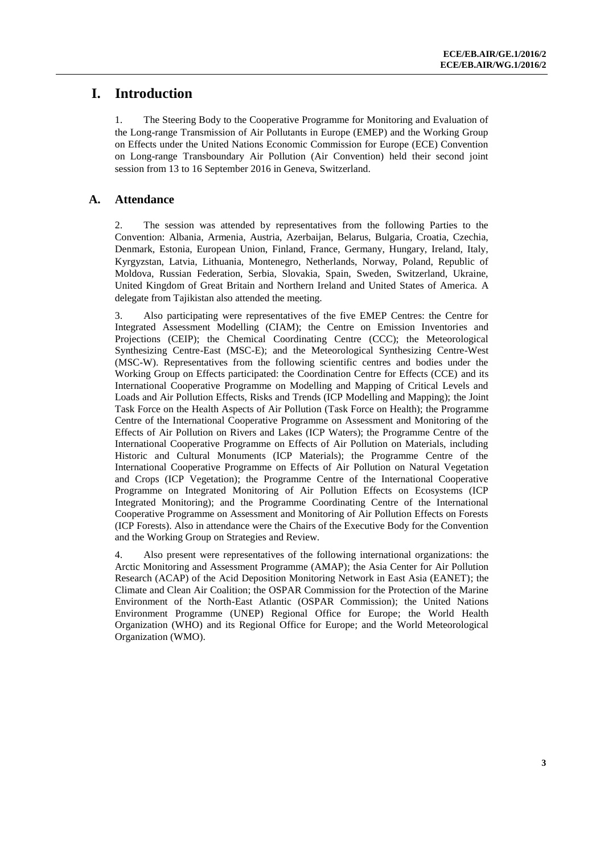# **I. Introduction**

1. The Steering Body to the Cooperative Programme for Monitoring and Evaluation of the Long-range Transmission of Air Pollutants in Europe (EMEP) and the Working Group on Effects under the United Nations Economic Commission for Europe (ECE) Convention on Long-range Transboundary Air Pollution (Air Convention) held their second joint session from 13 to 16 September 2016 in Geneva, Switzerland.

### **A. Attendance**

2. The session was attended by representatives from the following Parties to the Convention: Albania, Armenia, Austria, Azerbaijan, Belarus, Bulgaria, Croatia, Czechia, Denmark, Estonia, European Union, Finland, France, Germany, Hungary, Ireland, Italy, Kyrgyzstan, Latvia, Lithuania, Montenegro, Netherlands, Norway, Poland, Republic of Moldova, Russian Federation, Serbia, Slovakia, Spain, Sweden, Switzerland, Ukraine, United Kingdom of Great Britain and Northern Ireland and United States of America. A delegate from Tajikistan also attended the meeting.

3. Also participating were representatives of the five EMEP Centres: the Centre for Integrated Assessment Modelling (CIAM); the Centre on Emission Inventories and Projections (CEIP); the Chemical Coordinating Centre (CCC); the Meteorological Synthesizing Centre-East (MSC-E); and the Meteorological Synthesizing Centre-West (MSC-W). Representatives from the following scientific centres and bodies under the Working Group on Effects participated: the Coordination Centre for Effects (CCE) and its International Cooperative Programme on Modelling and Mapping of Critical Levels and Loads and Air Pollution Effects, Risks and Trends (ICP Modelling and Mapping); the Joint Task Force on the Health Aspects of Air Pollution (Task Force on Health); the Programme Centre of the International Cooperative Programme on Assessment and Monitoring of the Effects of Air Pollution on Rivers and Lakes (ICP Waters); the Programme Centre of the International Cooperative Programme on Effects of Air Pollution on Materials, including Historic and Cultural Monuments (ICP Materials); the Programme Centre of the International Cooperative Programme on Effects of Air Pollution on Natural Vegetation and Crops (ICP Vegetation); the Programme Centre of the International Cooperative Programme on Integrated Monitoring of Air Pollution Effects on Ecosystems (ICP Integrated Monitoring); and the Programme Coordinating Centre of the International Cooperative Programme on Assessment and Monitoring of Air Pollution Effects on Forests (ICP Forests). Also in attendance were the Chairs of the Executive Body for the Convention and the Working Group on Strategies and Review.

4. Also present were representatives of the following international organizations: the Arctic Monitoring and Assessment Programme (AMAP); the Asia Center for Air Pollution Research (ACAP) of the Acid Deposition Monitoring Network in East Asia (EANET); the Climate and Clean Air Coalition; the OSPAR Commission for the Protection of the Marine Environment of the North-East Atlantic (OSPAR Commission); the United Nations Environment Programme (UNEP) Regional Office for Europe; the World Health Organization (WHO) [and its Regional Office for Europe;](http://www.euro.who.int/en/health-topics/environment-and-health/air-quality) and the World Meteorological Organization (WMO).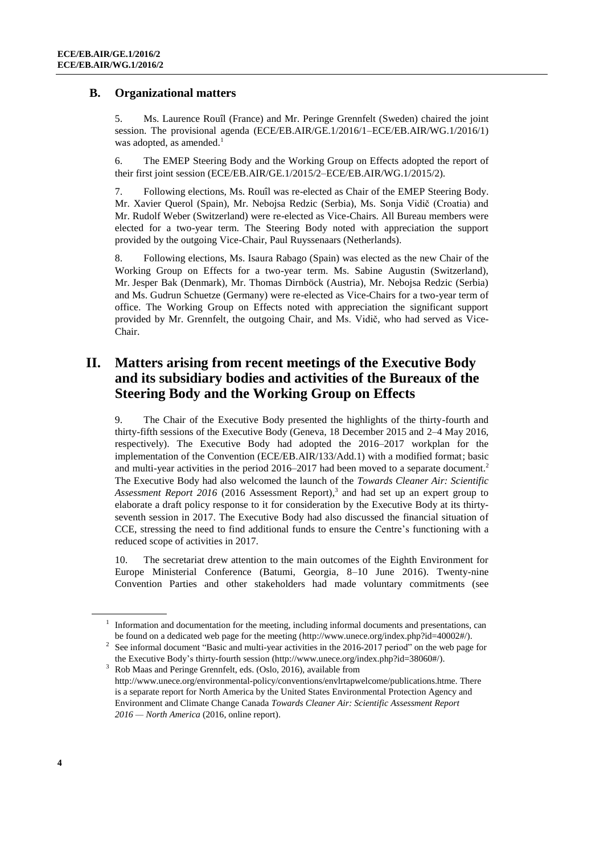#### **B. Organizational matters**

5. Ms. Laurence Rouîl (France) and Mr. Peringe Grennfelt (Sweden) chaired the joint session. The provisional agenda (ECE/EB.AIR/GE.1/2016/1–ECE/EB.AIR/WG.1/2016/1) was adopted, as amended. $<sup>1</sup>$ </sup>

6. The EMEP Steering Body and the Working Group on Effects adopted the report of their first joint session (ECE/EB.AIR/GE.1/2015/2–ECE/EB.AIR/WG.1/2015/2).

7. Following elections, Ms. Rouîl was re-elected as Chair of the EMEP Steering Body. Mr. Xavier Querol (Spain), Mr. Nebojsa Redzic (Serbia), Ms. Sonja Vidič (Croatia) and Mr. Rudolf Weber (Switzerland) were re-elected as Vice-Chairs. All Bureau members were elected for a two-year term. The Steering Body noted with appreciation the support provided by the outgoing Vice-Chair, Paul Ruyssenaars (Netherlands).

8. Following elections, Ms. Isaura Rabago (Spain) was elected as the new Chair of the Working Group on Effects for a two-year term. Ms. Sabine Augustin (Switzerland), Mr. Jesper Bak (Denmark), Mr. Thomas Dirnböck (Austria), Mr. Nebojsa Redzic (Serbia) and Ms. Gudrun Schuetze (Germany) were re-elected as Vice-Chairs for a two-year term of office. The Working Group on Effects noted with appreciation the significant support provided by Mr. Grennfelt, the outgoing Chair, and Ms. Vidič, who had served as Vice-Chair.

# **II. Matters arising from recent meetings of the Executive Body and its subsidiary bodies and activities of the Bureaux of the Steering Body and the Working Group on Effects**

9. The Chair of the Executive Body presented the highlights of the thirty-fourth and thirty-fifth sessions of the Executive Body (Geneva, 18 December 2015 and 2–4 May 2016, respectively). The Executive Body had adopted the 2016–2017 workplan for the implementation of the Convention (ECE/EB.AIR/133/Add.1) with a modified format; basic and multi-year activities in the period 2016–2017 had been moved to a separate document.<sup>2</sup> The Executive Body had also welcomed the launch of the *Towards Cleaner Air: Scientific Assessment Report 2016* (2016 Assessment Report), 3 and had set up an expert group to elaborate a draft policy response to it for consideration by the Executive Body at its thirtyseventh session in 2017. The Executive Body had also discussed the financial situation of CCE, stressing the need to find additional funds to ensure the Centre's functioning with a reduced scope of activities in 2017.

10. The secretariat drew attention to the main outcomes of the Eighth Environment for Europe Ministerial Conference (Batumi, Georgia, 8–10 June 2016). Twenty-nine Convention Parties and other stakeholders had made voluntary commitments (see

<sup>&</sup>lt;sup>1</sup> Information and documentation for the meeting, including informal documents and presentations, can be found on a dedicated web page for the meeting [\(http://www.unece.org/index.php?id=40002#/\).](http://www.unece.org/index.php?id=40002#/)

<sup>&</sup>lt;sup>2</sup> See informal document "Basic and multi-year activities in the 2016-2017 period" on the web page for the Executive Body's thirty-fourth session [\(http://www.unece.org/index.php?id=38060#/\)](http://www.unece.org/index.php?id=38060#/).

 $3 \text{ Rob M}$ aas and Peringe Grennfelt, eds. (Oslo, 2016), available from http://www.unece.org/environmental-policy/conventions/envlrtapwelcome/publications.htme. There is a separate report for North America by the United States Environmental Protection Agency and Environment and Climate Change Canada *Towards Cleaner Air: Scientific Assessment Report 2016 — North America* (2016, online report).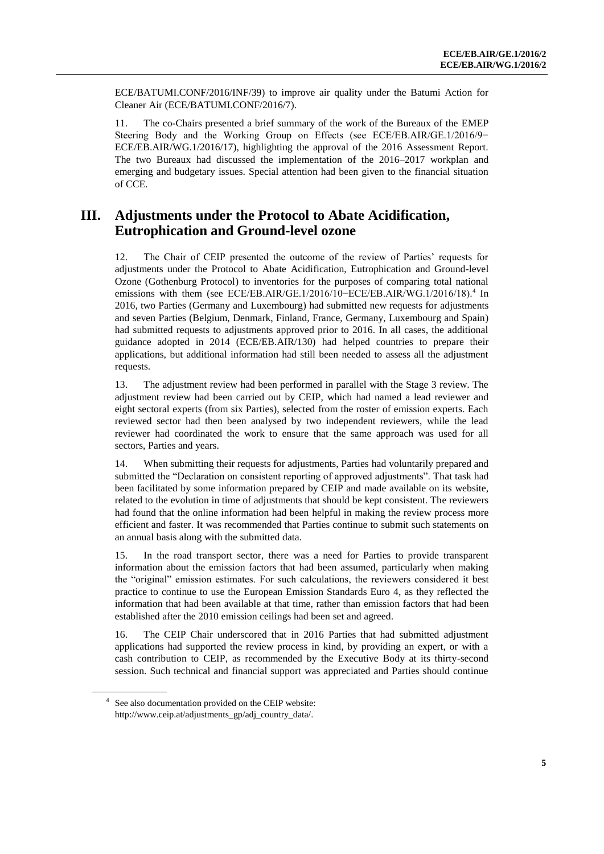ECE/BATUMI.CONF/2016/INF/39) to improve air quality under the Batumi Action for Cleaner Air (ECE/BATUMI.CONF/2016/7).

11. The co-Chairs presented a brief summary of the work of the Bureaux of the EMEP Steering Body and the Working Group on Effects (see ECE/EB.AIR/GE.1/2016/9− ECE/EB.AIR/WG.1/2016/17), highlighting the approval of the 2016 Assessment Report. The two Bureaux had discussed the implementation of the 2016–2017 workplan and emerging and budgetary issues. Special attention had been given to the financial situation of CCE.

# **III. Adjustments under the Protocol to Abate Acidification, Eutrophication and Ground-level ozone**

12. The Chair of CEIP presented the outcome of the review of Parties' requests for adjustments under the Protocol to Abate Acidification, Eutrophication and Ground-level Ozone (Gothenburg Protocol) to inventories for the purposes of comparing total national emissions with them (see ECE/EB.AIR/GE.1/2016/10–ECE/EB.AIR/WG.1/2016/18).<sup>4</sup> In 2016, two Parties (Germany and Luxembourg) had submitted new requests for adjustments and seven Parties (Belgium, Denmark, Finland, France, Germany, Luxembourg and Spain) had submitted requests to adjustments approved prior to 2016. In all cases, the additional guidance adopted in 2014 (ECE/EB.AIR/130) had helped countries to prepare their applications, but additional information had still been needed to assess all the adjustment requests.

13. The adjustment review had been performed in parallel with the Stage 3 review. The adjustment review had been carried out by CEIP, which had named a lead reviewer and eight sectoral experts (from six Parties), selected from the roster of emission experts. Each reviewed sector had then been analysed by two independent reviewers, while the lead reviewer had coordinated the work to ensure that the same approach was used for all sectors, Parties and years.

14. When submitting their requests for adjustments, Parties had voluntarily prepared and submitted the "Declaration on consistent reporting of approved adjustments". That task had been facilitated by some information prepared by CEIP and made available on its website, related to the evolution in time of adjustments that should be kept consistent. The reviewers had found that the online information had been helpful in making the review process more efficient and faster. It was recommended that Parties continue to submit such statements on an annual basis along with the submitted data.

15. In the road transport sector, there was a need for Parties to provide transparent information about the emission factors that had been assumed, particularly when making the "original" emission estimates. For such calculations, the reviewers considered it best practice to continue to use the European Emission Standards Euro 4, as they reflected the information that had been available at that time, rather than emission factors that had been established after the 2010 emission ceilings had been set and agreed.

16. The CEIP Chair underscored that in 2016 Parties that had submitted adjustment applications had supported the review process in kind, by providing an expert, or with a cash contribution to CEIP, as recommended by the Executive Body at its thirty-second session. Such technical and financial support was appreciated and Parties should continue

<sup>4</sup> See also documentation provided on the CEIP website: [http://www.ceip.at/adjustments\\_gp/adj\\_country\\_data/.](http://www.ceip.at/adjustments_gp/adj_country_data/)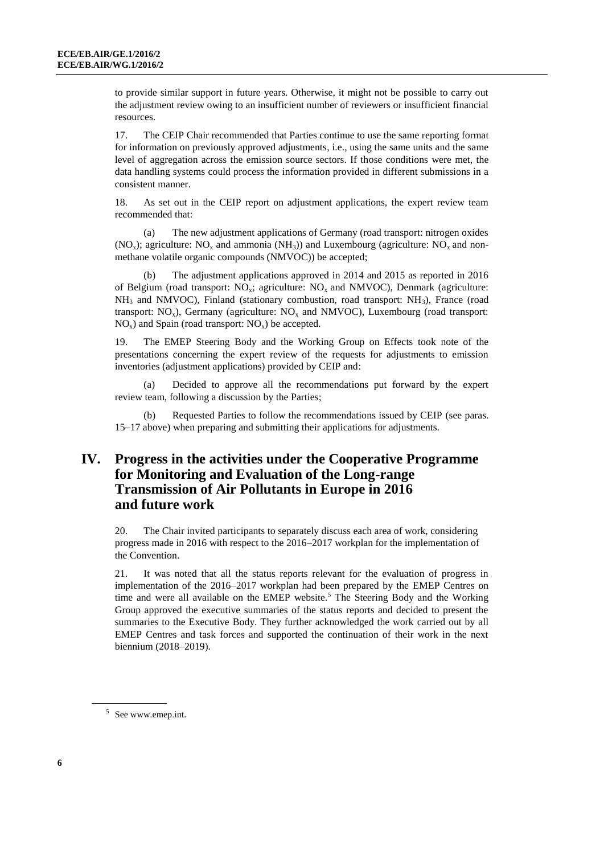to provide similar support in future years. Otherwise, it might not be possible to carry out the adjustment review owing to an insufficient number of reviewers or insufficient financial resources.

17. The CEIP Chair recommended that Parties continue to use the same reporting format for information on previously approved adjustments, i.e., using the same units and the same level of aggregation across the emission source sectors. If those conditions were met, the data handling systems could process the information provided in different submissions in a consistent manner.

18. As set out in the CEIP report on adjustment applications, the expert review team recommended that:

(a) The new adjustment applications of Germany (road transport: nitrogen oxides  $(NO_x)$ ; agriculture:  $NO_x$  and ammonia  $(NH_3)$ ) and Luxembourg (agriculture:  $NO_x$  and nonmethane volatile organic compounds (NMVOC)) be accepted;

(b) The adjustment applications approved in 2014 and 2015 as reported in 2016 of Belgium (road transport:  $NO_x$ ; agriculture:  $NO_y$  and  $NMVOC$ ), Denmark (agriculture:  $NH<sub>3</sub>$  and NMVOC), Finland (stationary combustion, road transport: NH<sub>3</sub>), France (road transport:  $NO<sub>x</sub>$ ), Germany (agriculture:  $NO<sub>x</sub>$  and NMVOC), Luxembourg (road transport:  $NO<sub>x</sub>$ ) and Spain (road transport:  $NO<sub>x</sub>$ ) be accepted.

19. The EMEP Steering Body and the Working Group on Effects took note of the presentations concerning the expert review of the requests for adjustments to emission inventories (adjustment applications) provided by CEIP and:

Decided to approve all the recommendations put forward by the expert review team, following a discussion by the Parties;

(b) Requested Parties to follow the recommendations issued by CEIP (see paras. 15–17 above) when preparing and submitting their applications for adjustments.

# **IV. Progress in the activities under the Cooperative Programme for Monitoring and Evaluation of the Long-range Transmission of Air Pollutants in Europe in 2016 and future work**

20. The Chair invited participants to separately discuss each area of work, considering progress made in 2016 with respect to the 2016–2017 workplan for the implementation of the Convention.

21. It was noted that all the status reports relevant for the evaluation of progress in implementation of the 2016–2017 workplan had been prepared by the EMEP Centres on time and were all available on the EMEP website.<sup>5</sup> The Steering Body and the Working Group approved the executive summaries of the status reports and decided to present the summaries to the Executive Body. They further acknowledged the work carried out by all EMEP Centres and task forces and supported the continuation of their work in the next biennium (2018–2019).

<sup>&</sup>lt;sup>5</sup> Se[e www.emep.int.](http://www.emep.int/)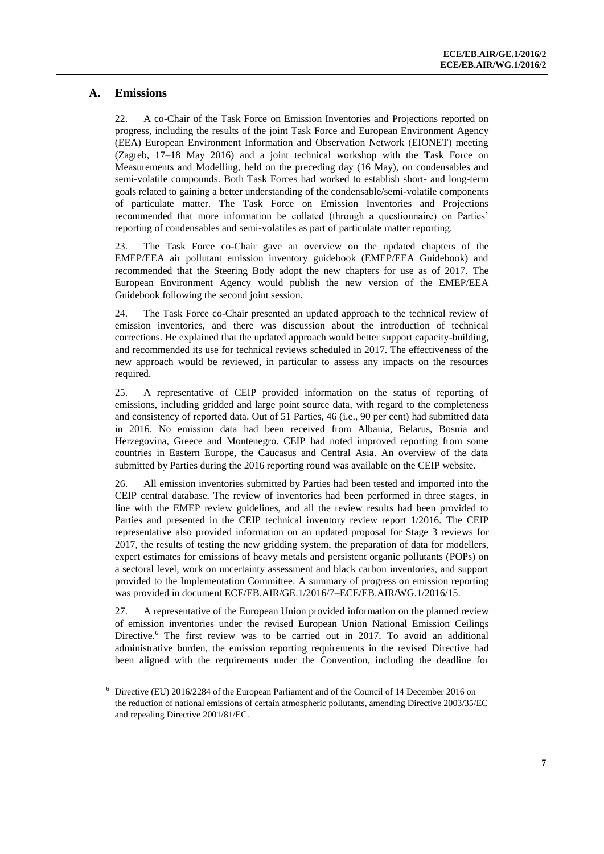### **A. Emissions**

22. A co-Chair of the Task Force on Emission Inventories and Projections reported on progress, including the results of the joint Task Force and European Environment Agency (EEA) European Environment Information and Observation Network (EIONET) meeting (Zagreb, 17–18 May 2016) and a joint technical workshop with the Task Force on Measurements and Modelling, held on the preceding day (16 May), on condensables and semi-volatile compounds. Both Task Forces had worked to establish short- and long-term goals related to gaining a better understanding of the condensable/semi-volatile components of particulate matter. The Task Force on Emission Inventories and Projections recommended that more information be collated (through a questionnaire) on Parties' reporting of condensables and semi-volatiles as part of particulate matter reporting.

23. The Task Force co-Chair gave an overview on the updated chapters of the EMEP/EEA air pollutant emission inventory guidebook (EMEP/EEA Guidebook) and recommended that the Steering Body adopt the new chapters for use as of 2017. The European Environment Agency would publish the new version of the EMEP/EEA Guidebook following the second joint session.

24. The Task Force co-Chair presented an updated approach to the technical review of emission inventories, and there was discussion about the introduction of technical corrections. He explained that the updated approach would better support capacity-building, and recommended its use for technical reviews scheduled in 2017. The effectiveness of the new approach would be reviewed, in particular to assess any impacts on the resources required.

25. A representative of CEIP provided information on the status of reporting of emissions, including gridded and large point source data, with regard to the completeness and consistency of reported data. Out of 51 Parties, 46 (i.e., 90 per cent) had submitted data in 2016. No emission data had been received from Albania, Belarus, Bosnia and Herzegovina, Greece and Montenegro. CEIP had noted improved reporting from some countries in Eastern Europe, the Caucasus and Central Asia. An overview of the data submitted by Parties during the 2016 reporting round was available on the CEIP website.

26. All emission inventories submitted by Parties had been tested and imported into the CEIP central database. The review of inventories had been performed in three stages, in line with the EMEP review guidelines, and all the review results had been provided to Parties and presented in the CEIP technical inventory review report 1/2016. The CEIP representative also provided information on an updated proposal for Stage 3 reviews for 2017, the results of testing the new gridding system, the preparation of data for modellers, expert estimates for emissions of heavy metals and persistent organic pollutants (POPs) on a sectoral level, work on uncertainty assessment and black carbon inventories, and support provided to the Implementation Committee. A summary of progress on emission reporting was provided in document ECE/EB.AIR/GE.1/2016/7–ECE/EB.AIR/WG.1/2016/15.

27. A representative of the European Union provided information on the planned review of emission inventories under the revised European Union National Emission Ceilings Directive. <sup>6</sup> The first review was to be carried out in 2017. To avoid an additional administrative burden, the emission reporting requirements in the revised Directive had been aligned with the requirements under the Convention, including the deadline for

<sup>6</sup> Directive (EU) 2016/2284 of the European Parliament and of the Council of 14 December 2016 on the reduction of national emissions of certain atmospheric pollutants, amending Directive 2003/35/EC and repealing Directive 2001/81/EC.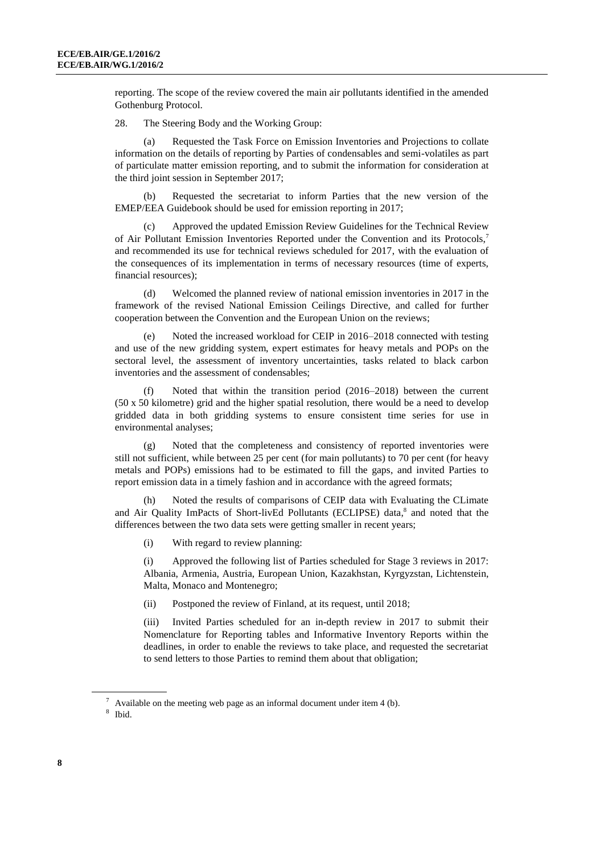reporting. The scope of the review covered the main air pollutants identified in the amended Gothenburg Protocol.

28. The Steering Body and the Working Group:

(a) Requested the Task Force on Emission Inventories and Projections to collate information on the details of reporting by Parties of condensables and semi-volatiles as part of particulate matter emission reporting, and to submit the information for consideration at the third joint session in September 2017;

(b) Requested the secretariat to inform Parties that the new version of the EMEP/EEA Guidebook should be used for emission reporting in 2017;

(c) Approved the updated Emission Review Guidelines for the Technical Review of Air Pollutant Emission Inventories Reported under the Convention and its Protocols, 7 and recommended its use for technical reviews scheduled for 2017, with the evaluation of the consequences of its implementation in terms of necessary resources (time of experts, financial resources);

Welcomed the planned review of national emission inventories in 2017 in the framework of the revised National Emission Ceilings Directive, and called for further cooperation between the Convention and the European Union on the reviews;

Noted the increased workload for CEIP in  $2016-2018$  connected with testing and use of the new gridding system, expert estimates for heavy metals and POPs on the sectoral level, the assessment of inventory uncertainties, tasks related to black carbon inventories and the assessment of condensables;

(f) Noted that within the transition period (2016–2018) between the current (50 x 50 kilometre) grid and the higher spatial resolution, there would be a need to develop gridded data in both gridding systems to ensure consistent time series for use in environmental analyses;

(g) Noted that the completeness and consistency of reported inventories were still not sufficient, while between 25 per cent (for main pollutants) to 70 per cent (for heavy metals and POPs) emissions had to be estimated to fill the gaps, and invited Parties to report emission data in a timely fashion and in accordance with the agreed formats;

(h) Noted the results of comparisons of CEIP data with Evaluating the CLimate and Air Quality ImPacts of Short-livEd Pollutants (ECLIPSE) data, 8 and noted that the differences between the two data sets were getting smaller in recent years;

(i) With regard to review planning:

(i) Approved the following list of Parties scheduled for Stage 3 reviews in 2017: Albania, Armenia, Austria, European Union, Kazakhstan, Kyrgyzstan, Lichtenstein, Malta, Monaco and Montenegro;

(ii) Postponed the review of Finland, at its request, until 2018;

(iii) Invited Parties scheduled for an in-depth review in 2017 to submit their Nomenclature for Reporting tables and Informative Inventory Reports within the deadlines, in order to enable the reviews to take place, and requested the secretariat to send letters to those Parties to remind them about that obligation;

Available on the meeting web page as an informal document under item 4 (b).

<sup>8</sup> Ibid.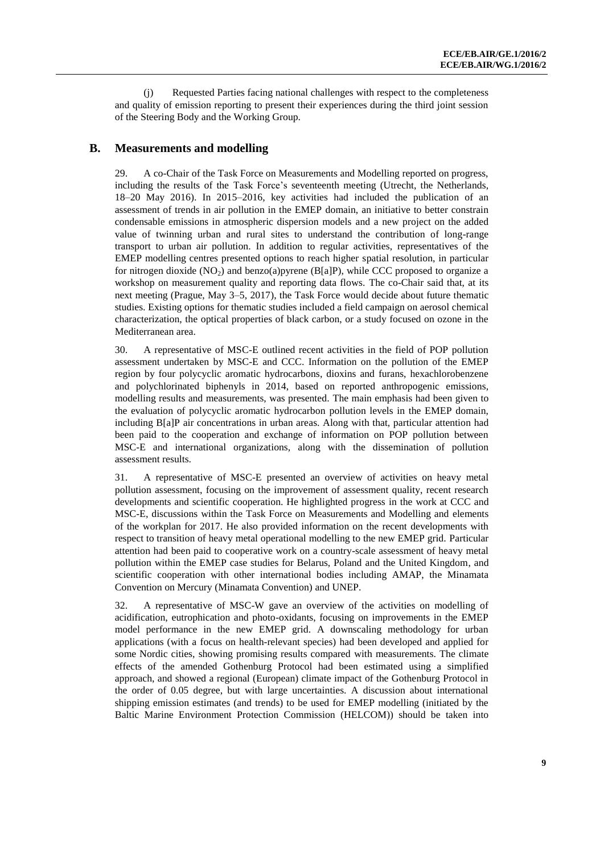(j) Requested Parties facing national challenges with respect to the completeness and quality of emission reporting to present their experiences during the third joint session of the Steering Body and the Working Group.

#### **B. Measurements and modelling**

29. A co-Chair of the Task Force on Measurements and Modelling reported on progress, including the results of the Task Force's seventeenth meeting (Utrecht, the Netherlands, 18–20 May 2016). In 2015–2016, key activities had included the publication of an assessment of trends in air pollution in the EMEP domain, an initiative to better constrain condensable emissions in atmospheric dispersion models and a new project on the added value of twinning urban and rural sites to understand the contribution of long-range transport to urban air pollution. In addition to regular activities, representatives of the EMEP modelling centres presented options to reach higher spatial resolution, in particular for nitrogen dioxide  $(NO<sub>2</sub>)$  and benzo(a)pyrene  $(B[a]P)$ , while CCC proposed to organize a workshop on measurement quality and reporting data flows. The co-Chair said that, at its next meeting (Prague, May 3–5, 2017), the Task Force would decide about future thematic studies. Existing options for thematic studies included a field campaign on aerosol chemical characterization, the optical properties of black carbon, or a study focused on ozone in the Mediterranean area.

30. A representative of MSC-E outlined recent activities in the field of POP pollution assessment undertaken by MSC-E and CCC. Information on the pollution of the EMEP region by four polycyclic aromatic hydrocarbons, dioxins and furans, hexachlorobenzene and polychlorinated biphenyls in 2014, based on reported anthropogenic emissions, modelling results and measurements, was presented. The main emphasis had been given to the evaluation of polycyclic aromatic hydrocarbon pollution levels in the EMEP domain, including B[a]P air concentrations in urban areas. Along with that, particular attention had been paid to the cooperation and exchange of information on POP pollution between MSC-E and international organizations, along with the dissemination of pollution assessment results.

31. A representative of MSC-E presented an overview of activities on heavy metal pollution assessment, focusing on the improvement of assessment quality, recent research developments and scientific cooperation. He highlighted progress in the work at CCC and MSC-E, discussions within the Task Force on Measurements and Modelling and elements of the workplan for 2017. He also provided information on the recent developments with respect to transition of heavy metal operational modelling to the new EMEP grid. Particular attention had been paid to cooperative work on a country-scale assessment of heavy metal pollution within the EMEP case studies for Belarus, Poland and the United Kingdom, and scientific cooperation with other international bodies including AMAP, the Minamata Convention on Mercury (Minamata Convention) and UNEP.

32. A representative of MSC-W gave an overview of the activities on modelling of acidification, eutrophication and photo-oxidants, focusing on improvements in the EMEP model performance in the new EMEP grid. A downscaling methodology for urban applications (with a focus on health-relevant species) had been developed and applied for some Nordic cities, showing promising results compared with measurements. The climate effects of the amended Gothenburg Protocol had been estimated using a simplified approach, and showed a regional (European) climate impact of the Gothenburg Protocol in the order of 0.05 degree, but with large uncertainties. A discussion about international shipping emission estimates (and trends) to be used for EMEP modelling (initiated by the Baltic Marine Environment Protection Commission (HELCOM)) should be taken into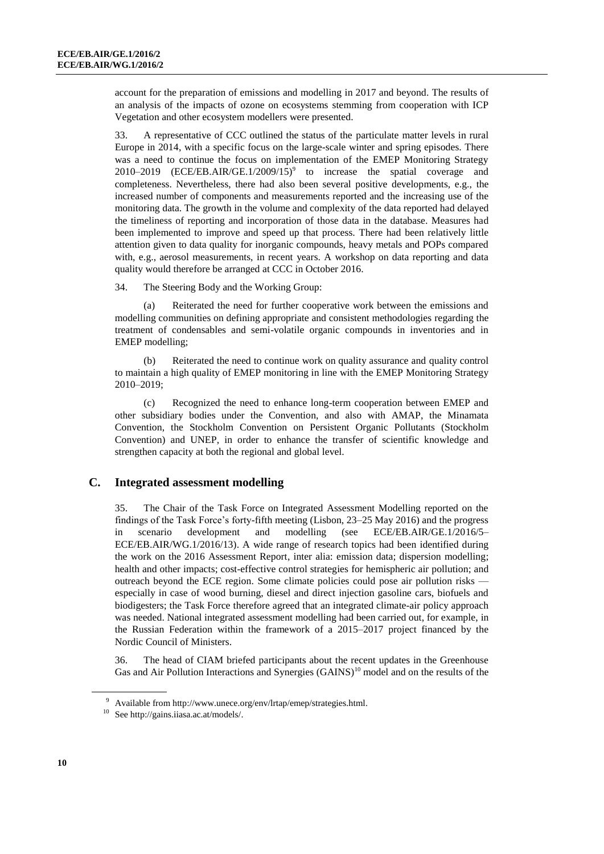account for the preparation of emissions and modelling in 2017 and beyond. The results of an analysis of the impacts of ozone on ecosystems stemming from cooperation with ICP Vegetation and other ecosystem modellers were presented.

33. A representative of CCC outlined the status of the particulate matter levels in rural Europe in 2014, with a specific focus on the large-scale winter and spring episodes. There was a need to continue the focus on implementation of the EMEP Monitoring Strategy 2010–2019 (ECE/EB.AIR/GE.1/2009/15)<sup>9</sup> to increase the spatial coverage and completeness. Nevertheless, there had also been several positive developments, e.g., the increased number of components and measurements reported and the increasing use of the monitoring data. The growth in the volume and complexity of the data reported had delayed the timeliness of reporting and incorporation of those data in the database. Measures had been implemented to improve and speed up that process. There had been relatively little attention given to data quality for inorganic compounds, heavy metals and POPs compared with, e.g., aerosol measurements, in recent years. A workshop on data reporting and data quality would therefore be arranged at CCC in October 2016.

34. The Steering Body and the Working Group:

(a) Reiterated the need for further cooperative work between the emissions and modelling communities on defining appropriate and consistent methodologies regarding the treatment of condensables and semi-volatile organic compounds in inventories and in EMEP modelling;

(b) Reiterated the need to continue work on quality assurance and quality control to maintain a high quality of EMEP monitoring in line with the EMEP Monitoring Strategy 2010–2019;

(c) Recognized the need to enhance long-term cooperation between EMEP and other subsidiary bodies under the Convention, and also with AMAP, the Minamata Convention, the Stockholm Convention on Persistent Organic Pollutants (Stockholm Convention) and UNEP, in order to enhance the transfer of scientific knowledge and strengthen capacity at both the regional and global level.

#### **C. Integrated assessment modelling**

35. The Chair of the Task Force on Integrated Assessment Modelling reported on the findings of the Task Force's forty-fifth meeting (Lisbon, 23–25 May 2016) and the progress in scenario development and modelling (see ECE/EB.AIR/GE.1/2016/5– ECE/EB.AIR/WG.1/2016/13). A wide range of research topics had been identified during the work on the 2016 Assessment Report, inter alia: emission data; dispersion modelling; health and other impacts; cost-effective control strategies for hemispheric air pollution; and outreach beyond the ECE region. Some climate policies could pose air pollution risks especially in case of wood burning, diesel and direct injection gasoline cars, biofuels and biodigesters; the Task Force therefore agreed that an integrated climate-air policy approach was needed. National integrated assessment modelling had been carried out, for example, in the Russian Federation within the framework of a 2015–2017 project financed by the Nordic Council of Ministers.

36. The head of CIAM briefed participants about the recent updates in the Greenhouse Gas and Air Pollution Interactions and Synergies (GAINS)<sup>10</sup> model and on the results of the

<sup>9</sup> Available from http://www.unece.org/env/lrtap/emep/strategies.html.

<sup>10</sup> Se[e http://gains.iiasa.ac.at/models/.](http://gains.iiasa.ac.at/models/)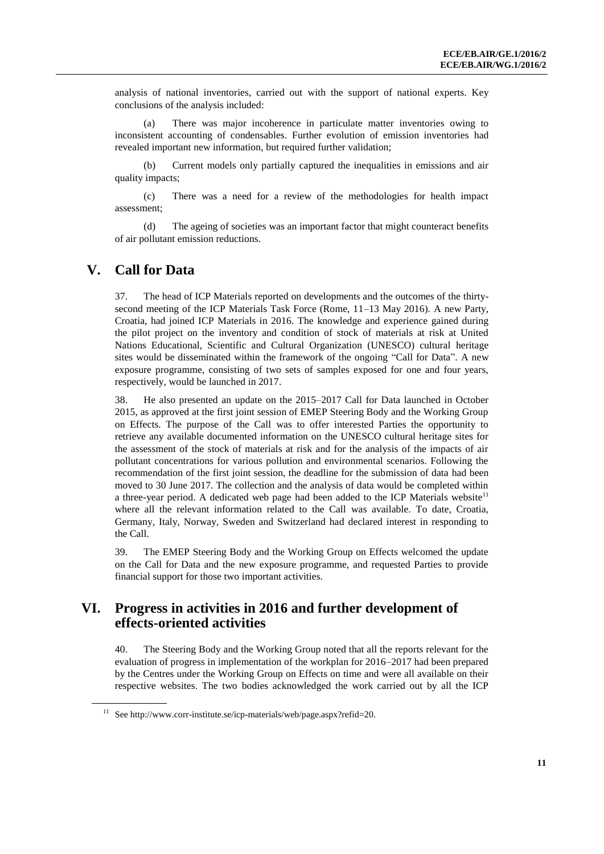analysis of national inventories, carried out with the support of national experts. Key conclusions of the analysis included:

(a) There was major incoherence in particulate matter inventories owing to inconsistent accounting of condensables. Further evolution of emission inventories had revealed important new information, but required further validation;

(b) Current models only partially captured the inequalities in emissions and air quality impacts;

(c) There was a need for a review of the methodologies for health impact assessment;

(d) The ageing of societies was an important factor that might counteract benefits of air pollutant emission reductions.

### **V. Call for Data**

37. The head of ICP Materials reported on developments and the outcomes of the thirtysecond meeting of the ICP Materials Task Force (Rome, 11–13 May 2016). A new Party, Croatia, had joined ICP Materials in 2016. The knowledge and experience gained during the pilot project on the inventory and condition of stock of materials at risk at United Nations Educational, Scientific and Cultural Organization (UNESCO) cultural heritage sites would be disseminated within the framework of the ongoing "Call for Data". A new exposure programme, consisting of two sets of samples exposed for one and four years, respectively, would be launched in 2017.

38. He also presented an update on the 2015–2017 Call for Data launched in October 2015, as approved at the first joint session of EMEP Steering Body and the Working Group on Effects. The purpose of the Call was to offer interested Parties the opportunity to retrieve any available documented information on the UNESCO cultural heritage sites for the assessment of the stock of materials at risk and for the analysis of the impacts of air pollutant concentrations for various pollution and environmental scenarios. Following the recommendation of the first joint session, the deadline for the submission of data had been moved to 30 June 2017. The collection and the analysis of data would be completed within a three-year period. A dedicated web page had been added to the ICP Materials website<sup>11</sup> where all the relevant information related to the Call was available. To date, Croatia, Germany, Italy, Norway, Sweden and Switzerland had declared interest in responding to the Call.

39. The EMEP Steering Body and the Working Group on Effects welcomed the update on the Call for Data and the new exposure programme, and requested Parties to provide financial support for those two important activities.

# **VI. Progress in activities in 2016 and further development of effects-oriented activities**

40. The Steering Body and the Working Group noted that all the reports relevant for the evaluation of progress in implementation of the workplan for 2016–2017 had been prepared by the Centres under the Working Group on Effects on time and were all available on their respective websites. The two bodies acknowledged the work carried out by all the ICP

 $11$  See http://www.corr-institute.se/icp-materials/web/page.aspx?refid=20.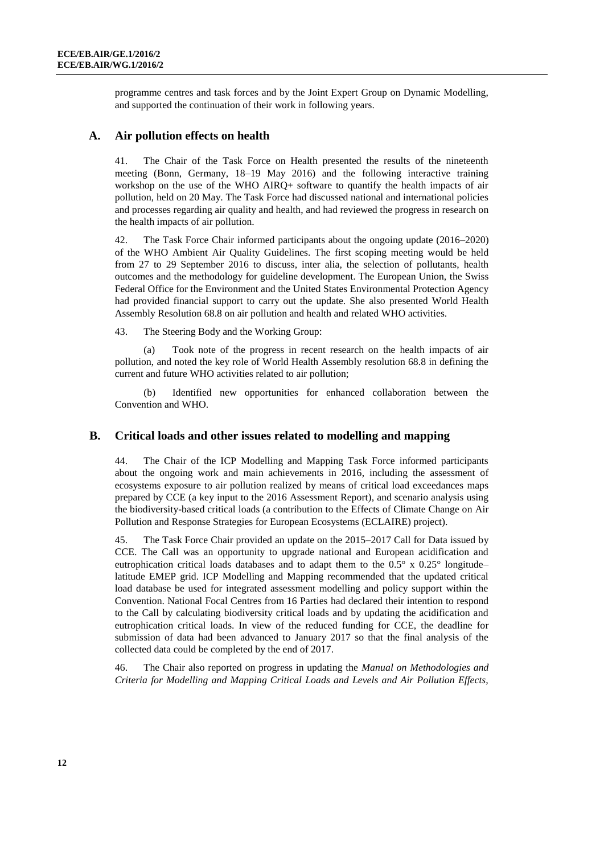programme centres and task forces and by the Joint Expert Group on Dynamic Modelling, and supported the continuation of their work in following years.

#### **A. Air pollution effects on health**

41. The Chair of the Task Force on Health presented the results of the nineteenth meeting (Bonn, Germany, 18–19 May 2016) and the following interactive training workshop on the use of the WHO AIRQ+ software to quantify the health impacts of air pollution, held on 20 May. The Task Force had discussed national and international policies and processes regarding air quality and health, and had reviewed the progress in research on the health impacts of air pollution.

42. The Task Force Chair informed participants about the ongoing update (2016–2020) of the WHO Ambient Air Quality Guidelines. The first scoping meeting would be held from 27 to 29 September 2016 to discuss, inter alia, the selection of pollutants, health outcomes and the methodology for guideline development. The European Union, the Swiss Federal Office for the Environment and the United States Environmental Protection Agency had provided financial support to carry out the update. She also presented World Health Assembly Resolution 68.8 on air pollution and health and related WHO activities.

43. The Steering Body and the Working Group:

(a) Took note of the progress in recent research on the health impacts of air pollution, and noted the key role of World Health Assembly resolution 68.8 in defining the current and future WHO activities related to air pollution;

(b) Identified new opportunities for enhanced collaboration between the Convention and WHO.

#### **B. Critical loads and other issues related to modelling and mapping**

44. The Chair of the ICP Modelling and Mapping Task Force informed participants about the ongoing work and main achievements in 2016, including the assessment of ecosystems exposure to air pollution realized by means of critical load exceedances maps prepared by CCE (a key input to the 2016 Assessment Report), and scenario analysis using the biodiversity-based critical loads (a contribution to the Effects of Climate Change on Air Pollution and Response Strategies for European Ecosystems (ECLAIRE) project).

45. The Task Force Chair provided an update on the 2015–2017 Call for Data issued by CCE. The Call was an opportunity to upgrade national and European acidification and eutrophication critical loads databases and to adapt them to the 0.5° x 0.25° longitude– latitude EMEP grid. ICP Modelling and Mapping recommended that the updated critical load database be used for integrated assessment modelling and policy support within the Convention. National Focal Centres from 16 Parties had declared their intention to respond to the Call by calculating biodiversity critical loads and by updating the acidification and eutrophication critical loads. In view of the reduced funding for CCE, the deadline for submission of data had been advanced to January 2017 so that the final analysis of the collected data could be completed by the end of 2017.

46. The Chair also reported on progress in updating the *Manual on Methodologies and Criteria for Modelling and Mapping Critical Loads and Levels and Air Pollution Effects,*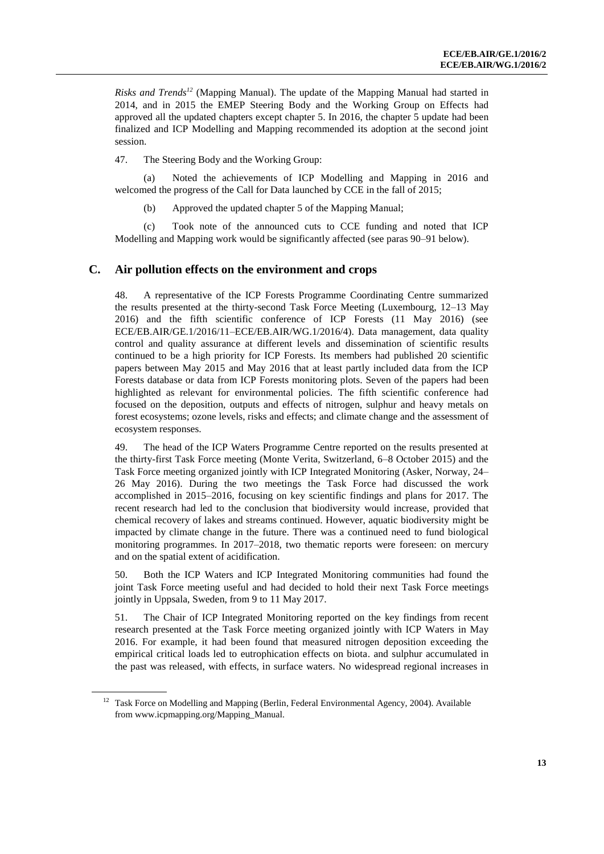*Risks and Trends<sup>12</sup>* (Mapping Manual). The update of the Mapping Manual had started in 2014, and in 2015 the EMEP Steering Body and the Working Group on Effects had approved all the updated chapters except chapter 5. In 2016, the chapter 5 update had been finalized and ICP Modelling and Mapping recommended its adoption at the second joint session.

47. The Steering Body and the Working Group:

(a) Noted the achievements of ICP Modelling and Mapping in 2016 and welcomed the progress of the Call for Data launched by CCE in the fall of 2015;

(b) Approved the updated chapter 5 of the Mapping Manual;

(c) Took note of the announced cuts to CCE funding and noted that ICP Modelling and Mapping work would be significantly affected (see paras 90–91 below).

#### **C. Air pollution effects on the environment and crops**

48. A representative of the ICP Forests Programme Coordinating Centre summarized the results presented at the thirty-second Task Force Meeting (Luxembourg, 12–13 May 2016) and the fifth scientific conference of ICP Forests (11 May 2016) (see ECE/EB.AIR/GE.1/2016/11–ECE/EB.AIR/WG.1/2016/4). Data management, data quality control and quality assurance at different levels and dissemination of scientific results continued to be a high priority for ICP Forests. Its members had published 20 scientific papers between May 2015 and May 2016 that at least partly included data from the ICP Forests database or data from ICP Forests monitoring plots. Seven of the papers had been highlighted as relevant for environmental policies. The fifth scientific conference had focused on the deposition, outputs and effects of nitrogen, sulphur and heavy metals on forest ecosystems; ozone levels, risks and effects; and climate change and the assessment of ecosystem responses.

49. The head of the ICP Waters Programme Centre reported on the results presented at the thirty-first Task Force meeting (Monte Verita, Switzerland, 6–8 October 2015) and the Task Force meeting organized jointly with ICP Integrated Monitoring (Asker, Norway, 24– 26 May 2016). During the two meetings the Task Force had discussed the work accomplished in 2015–2016, focusing on key scientific findings and plans for 2017. The recent research had led to the conclusion that biodiversity would increase, provided that chemical recovery of lakes and streams continued. However, aquatic biodiversity might be impacted by climate change in the future. There was a continued need to fund biological monitoring programmes. In 2017–2018, two thematic reports were foreseen: on mercury and on the spatial extent of acidification.

50. Both the ICP Waters and ICP Integrated Monitoring communities had found the joint Task Force meeting useful and had decided to hold their next Task Force meetings jointly in Uppsala, Sweden, from 9 to 11 May 2017.

51. The Chair of ICP Integrated Monitoring reported on the key findings from recent research presented at the Task Force meeting organized jointly with ICP Waters in May 2016. For example, it had been found that measured nitrogen deposition exceeding the empirical critical loads led to eutrophication effects on biota. and sulphur accumulated in the past was released, with effects, in surface waters. No widespread regional increases in

<sup>&</sup>lt;sup>12</sup> Task Force on Modelling and Mapping (Berlin, Federal Environmental Agency, 2004). Available from [www.icpmapping.org/Mapping\\_Manual.](http://www.icpmapping.org/Mapping_Manual)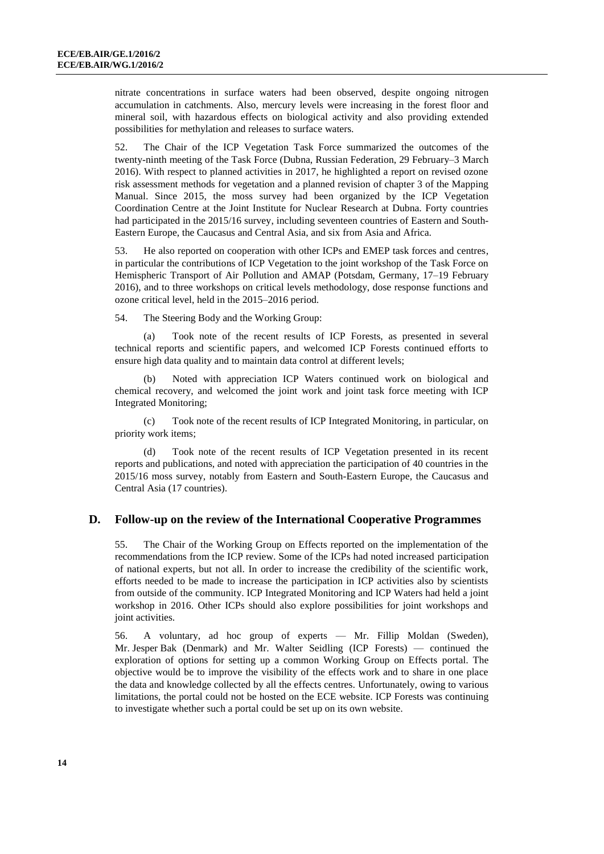nitrate concentrations in surface waters had been observed, despite ongoing nitrogen accumulation in catchments. Also, mercury levels were increasing in the forest floor and mineral soil, with hazardous effects on biological activity and also providing extended possibilities for methylation and releases to surface waters.

52. The Chair of the ICP Vegetation Task Force summarized the outcomes of the twenty-ninth meeting of the Task Force (Dubna, Russian Federation, 29 February–3 March 2016). With respect to planned activities in 2017, he highlighted a report on revised ozone risk assessment methods for vegetation and a planned revision of chapter 3 of the Mapping Manual. Since 2015, the moss survey had been organized by the ICP Vegetation Coordination Centre at the Joint Institute for Nuclear Research at Dubna. Forty countries had participated in the 2015/16 survey, including seventeen countries of Eastern and South-Eastern Europe, the Caucasus and Central Asia, and six from Asia and Africa.

53. He also reported on cooperation with other ICPs and EMEP task forces and centres, in particular the contributions of ICP Vegetation to the joint workshop of the Task Force on Hemispheric Transport of Air Pollution and AMAP (Potsdam, Germany, 17–19 February 2016), and to three workshops on critical levels methodology, dose response functions and ozone critical level, held in the 2015–2016 period.

54. The Steering Body and the Working Group:

Took note of the recent results of ICP Forests, as presented in several technical reports and scientific papers, and welcomed ICP Forests continued efforts to ensure high data quality and to maintain data control at different levels;

Noted with appreciation ICP Waters continued work on biological and chemical recovery, and welcomed the joint work and joint task force meeting with ICP Integrated Monitoring;

(c) Took note of the recent results of ICP Integrated Monitoring, in particular, on priority work items;

(d) Took note of the recent results of ICP Vegetation presented in its recent reports and publications, and noted with appreciation the participation of 40 countries in the 2015/16 moss survey, notably from Eastern and South-Eastern Europe, the Caucasus and Central Asia (17 countries).

#### **D. Follow-up on the review of the International Cooperative Programmes**

55. The Chair of the Working Group on Effects reported on the implementation of the recommendations from the ICP review. Some of the ICPs had noted increased participation of national experts, but not all. In order to increase the credibility of the scientific work, efforts needed to be made to increase the participation in ICP activities also by scientists from outside of the community. ICP Integrated Monitoring and ICP Waters had held a joint workshop in 2016. Other ICPs should also explore possibilities for joint workshops and joint activities.

56. A voluntary, ad hoc group of experts — Mr. Fillip Moldan (Sweden), Mr. Jesper Bak (Denmark) and Mr. Walter Seidling (ICP Forests) — continued the exploration of options for setting up a common Working Group on Effects portal. The objective would be to improve the visibility of the effects work and to share in one place the data and knowledge collected by all the effects centres. Unfortunately, owing to various limitations, the portal could not be hosted on the ECE website. ICP Forests was continuing to investigate whether such a portal could be set up on its own website.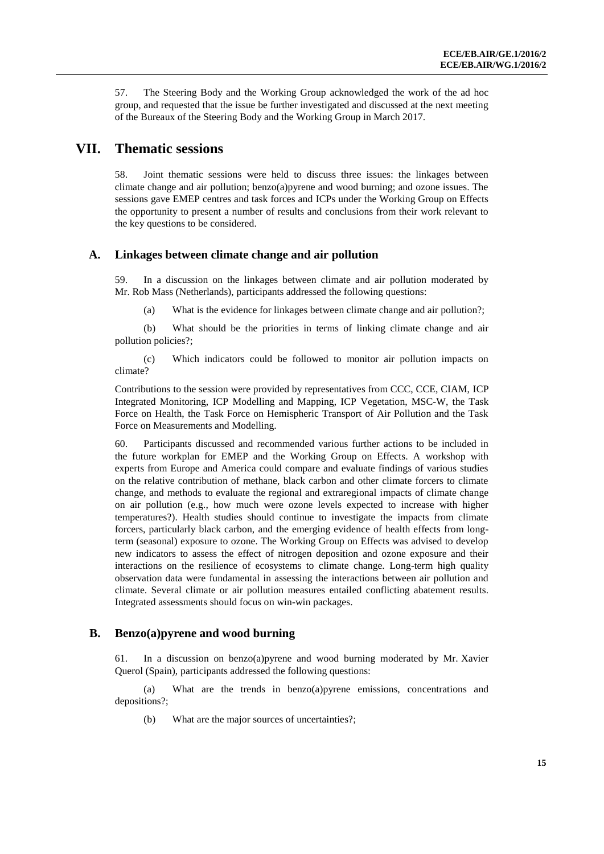57. The Steering Body and the Working Group acknowledged the work of the ad hoc group, and requested that the issue be further investigated and discussed at the next meeting of the Bureaux of the Steering Body and the Working Group in March 2017.

### **VII. Thematic sessions**

58. Joint thematic sessions were held to discuss three issues: the linkages between climate change and air pollution; benzo(a)pyrene and wood burning; and ozone issues. The sessions gave EMEP centres and task forces and ICPs under the Working Group on Effects the opportunity to present a number of results and conclusions from their work relevant to the key questions to be considered.

#### **A. Linkages between climate change and air pollution**

59. In a discussion on the linkages between climate and air pollution moderated by Mr. Rob Mass (Netherlands), participants addressed the following questions:

(a) What is the evidence for linkages between climate change and air pollution?;

(b) What should be the priorities in terms of linking climate change and air pollution policies?;

(c) Which indicators could be followed to monitor air pollution impacts on climate?

Contributions to the session were provided by representatives from CCC, CCE, CIAM, ICP Integrated Monitoring, ICP Modelling and Mapping, ICP Vegetation, MSC-W, the Task Force on Health, the Task Force on Hemispheric Transport of Air Pollution and the Task Force on Measurements and Modelling.

60. Participants discussed and recommended various further actions to be included in the future workplan for EMEP and the Working Group on Effects. A workshop with experts from Europe and America could compare and evaluate findings of various studies on the relative contribution of methane, black carbon and other climate forcers to climate change, and methods to evaluate the regional and extraregional impacts of climate change on air pollution (e.g., how much were ozone levels expected to increase with higher temperatures?). Health studies should continue to investigate the impacts from climate forcers, particularly black carbon, and the emerging evidence of health effects from longterm (seasonal) exposure to ozone. The Working Group on Effects was advised to develop new indicators to assess the effect of nitrogen deposition and ozone exposure and their interactions on the resilience of ecosystems to climate change. Long-term high quality observation data were fundamental in assessing the interactions between air pollution and climate. Several climate or air pollution measures entailed conflicting abatement results. Integrated assessments should focus on win-win packages.

#### **B. Benzo(a)pyrene and wood burning**

61. In a discussion on benzo(a)pyrene and wood burning moderated by Mr. Xavier Querol (Spain), participants addressed the following questions:

(a) What are the trends in benzo(a)pyrene emissions, concentrations and depositions?;

(b) What are the major sources of uncertainties?;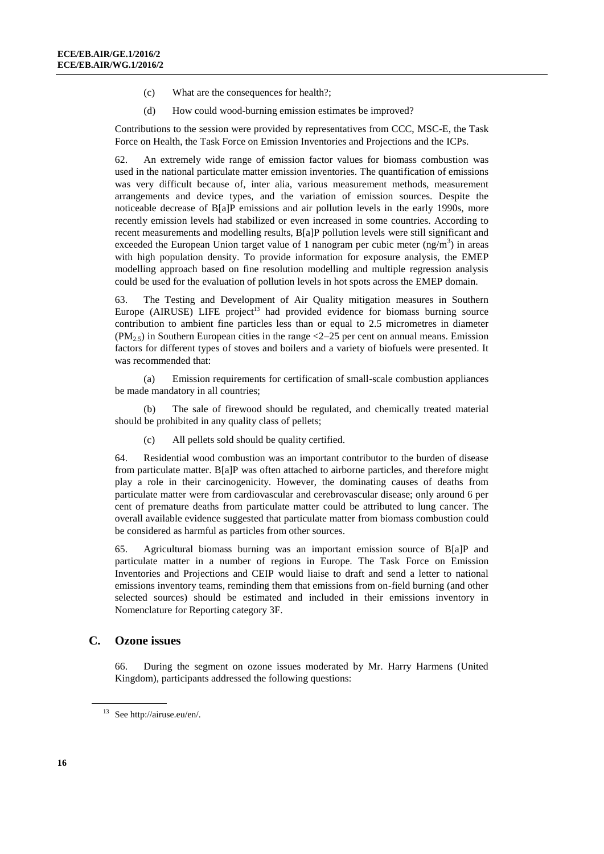- (c) What are the consequences for health?;
- (d) How could wood-burning emission estimates be improved?

Contributions to the session were provided by representatives from CCC, MSC-E, the Task Force on Health, the Task Force on Emission Inventories and Projections and the ICPs.

62. An extremely wide range of emission factor values for biomass combustion was used in the national particulate matter emission inventories. The quantification of emissions was very difficult because of, inter alia, various measurement methods, measurement arrangements and device types, and the variation of emission sources. Despite the noticeable decrease of B[a]P emissions and air pollution levels in the early 1990s, more recently emission levels had stabilized or even increased in some countries. According to recent measurements and modelling results, B[a]P pollution levels were still significant and exceeded the European Union target value of 1 nanogram per cubic meter  $(ng/m<sup>3</sup>)$  in areas with high population density. To provide information for exposure analysis, the EMEP modelling approach based on fine resolution modelling and multiple regression analysis could be used for the evaluation of pollution levels in hot spots across the EMEP domain.

63. The Testing and Development of Air Quality mitigation measures in Southern Europe (AIRUSE) LIFE project<sup>13</sup> had provided evidence for biomass burning source contribution to ambient fine particles less than or equal to 2.5 micrometres in diameter  $(PM_{2.5})$  in Southern European cities in the range <2–25 per cent on annual means. Emission factors for different types of stoves and boilers and a variety of biofuels were presented. It was recommended that:

(a) Emission requirements for certification of small-scale combustion appliances be made mandatory in all countries;

(b) The sale of firewood should be regulated, and chemically treated material should be prohibited in any quality class of pellets;

(c) All pellets sold should be quality certified.

64. Residential wood combustion was an important contributor to the burden of disease from particulate matter. B[a]P was often attached to airborne particles, and therefore might play a role in their carcinogenicity. However, the dominating causes of deaths from particulate matter were from cardiovascular and cerebrovascular disease; only around 6 per cent of premature deaths from particulate matter could be attributed to lung cancer. The overall available evidence suggested that particulate matter from biomass combustion could be considered as harmful as particles from other sources.

65. Agricultural biomass burning was an important emission source of B[a]P and particulate matter in a number of regions in Europe. The Task Force on Emission Inventories and Projections and CEIP would liaise to draft and send a letter to national emissions inventory teams, reminding them that emissions from on-field burning (and other selected sources) should be estimated and included in their emissions inventory in Nomenclature for Reporting category 3F.

#### **C. Ozone issues**

66. During the segment on ozone issues moderated by Mr. Harry Harmens (United Kingdom), participants addressed the following questions:

<sup>13</sup> Se[e http://airuse.eu/en/.](http://airuse.eu/en/)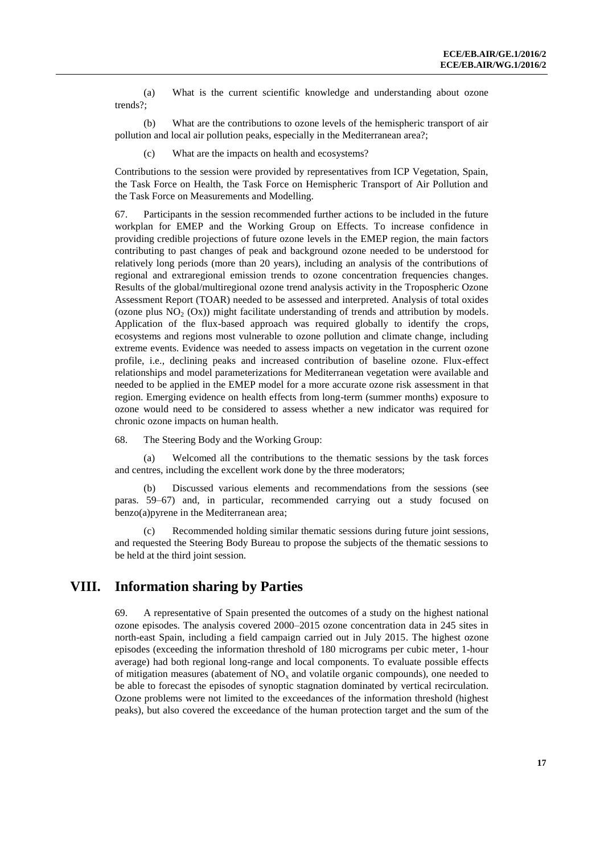(a) What is the current scientific knowledge and understanding about ozone trends?;

(b) What are the contributions to ozone levels of the hemispheric transport of air pollution and local air pollution peaks, especially in the Mediterranean area?;

(c) What are the impacts on health and ecosystems?

Contributions to the session were provided by representatives from ICP Vegetation, Spain, the Task Force on Health, the Task Force on Hemispheric Transport of Air Pollution and the Task Force on Measurements and Modelling.

67. Participants in the session recommended further actions to be included in the future workplan for EMEP and the Working Group on Effects. To increase confidence in providing credible projections of future ozone levels in the EMEP region, the main factors contributing to past changes of peak and background ozone needed to be understood for relatively long periods (more than 20 years), including an analysis of the contributions of regional and extraregional emission trends to ozone concentration frequencies changes. Results of the global/multiregional ozone trend analysis activity in the Tropospheric Ozone Assessment Report (TOAR) needed to be assessed and interpreted. Analysis of total oxides (ozone plus  $NO<sub>2</sub> (Ox)$ ) might facilitate understanding of trends and attribution by models. Application of the flux-based approach was required globally to identify the crops, ecosystems and regions most vulnerable to ozone pollution and climate change, including extreme events. Evidence was needed to assess impacts on vegetation in the current ozone profile, i.e., declining peaks and increased contribution of baseline ozone. Flux-effect relationships and model parameterizations for Mediterranean vegetation were available and needed to be applied in the EMEP model for a more accurate ozone risk assessment in that region. Emerging evidence on health effects from long-term (summer months) exposure to ozone would need to be considered to assess whether a new indicator was required for chronic ozone impacts on human health.

68. The Steering Body and the Working Group:

(a) Welcomed all the contributions to the thematic sessions by the task forces and centres, including the excellent work done by the three moderators;

(b) Discussed various elements and recommendations from the sessions (see paras. 59–67) and, in particular, recommended carrying out a study focused on benzo(a)pyrene in the Mediterranean area;

Recommended holding similar thematic sessions during future joint sessions, and requested the Steering Body Bureau to propose the subjects of the thematic sessions to be held at the third joint session.

### **VIII. Information sharing by Parties**

69. A representative of Spain presented the outcomes of a study on the highest national ozone episodes. The analysis covered 2000–2015 ozone concentration data in 245 sites in north-east Spain, including a field campaign carried out in July 2015. The highest ozone episodes (exceeding the information threshold of 180 micrograms per cubic meter, 1-hour average) had both regional long-range and local components. To evaluate possible effects of mitigation measures (abatement of  $NO<sub>x</sub>$  and volatile organic compounds), one needed to be able to forecast the episodes of synoptic stagnation dominated by vertical recirculation. Ozone problems were not limited to the exceedances of the information threshold (highest peaks), but also covered the exceedance of the human protection target and the sum of the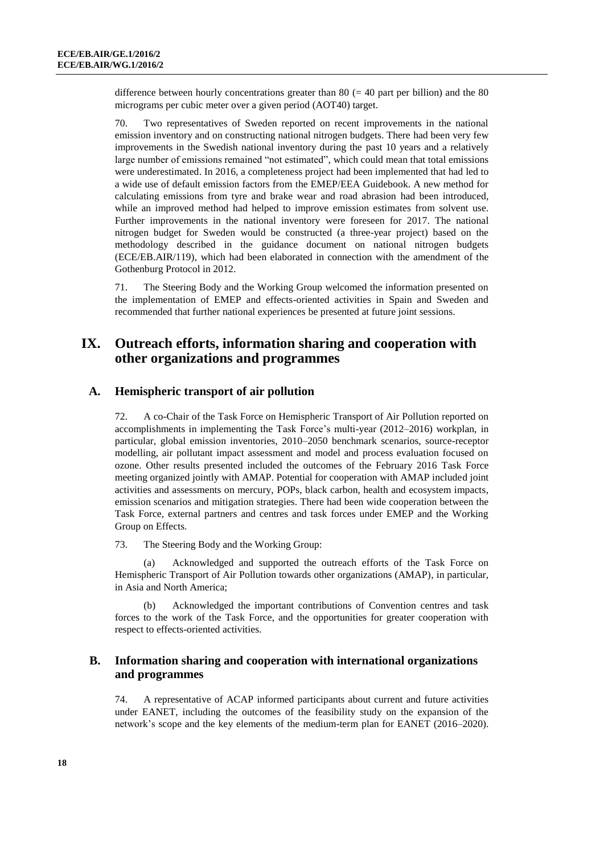difference between hourly concentrations greater than 80 ( $=$  40 part per billion) and the 80 micrograms per cubic meter over a given period (AOT40) target.

70. Two representatives of Sweden reported on recent improvements in the national emission inventory and on constructing national nitrogen budgets. There had been very few improvements in the Swedish national inventory during the past 10 years and a relatively large number of emissions remained "not estimated", which could mean that total emissions were underestimated. In 2016, a completeness project had been implemented that had led to a wide use of default emission factors from the EMEP/EEA Guidebook. A new method for calculating emissions from tyre and brake wear and road abrasion had been introduced, while an improved method had helped to improve emission estimates from solvent use. Further improvements in the national inventory were foreseen for 2017. The national nitrogen budget for Sweden would be constructed (a three-year project) based on the methodology described in the guidance document on national nitrogen budgets (ECE/EB.AIR/119), which had been elaborated in connection with the amendment of the Gothenburg Protocol in 2012.

71. The Steering Body and the Working Group welcomed the information presented on the implementation of EMEP and effects-oriented activities in Spain and Sweden and recommended that further national experiences be presented at future joint sessions.

# **IX. Outreach efforts, information sharing and cooperation with other organizations and programmes**

#### **A. Hemispheric transport of air pollution**

72. A co-Chair of the Task Force on Hemispheric Transport of Air Pollution reported on accomplishments in implementing the Task Force's multi-year (2012–2016) workplan, in particular, global emission inventories, 2010–2050 benchmark scenarios, source-receptor modelling, air pollutant impact assessment and model and process evaluation focused on ozone. Other results presented included the outcomes of the February 2016 Task Force meeting organized jointly with AMAP. Potential for cooperation with AMAP included joint activities and assessments on mercury, POPs, black carbon, health and ecosystem impacts, emission scenarios and mitigation strategies. There had been wide cooperation between the Task Force, external partners and centres and task forces under EMEP and the Working Group on Effects.

73. The Steering Body and the Working Group:

(a) Acknowledged and supported the outreach efforts of the Task Force on Hemispheric Transport of Air Pollution towards other organizations (AMAP), in particular, in Asia and North America;

(b) Acknowledged the important contributions of Convention centres and task forces to the work of the Task Force, and the opportunities for greater cooperation with respect to effects-oriented activities.

#### **B. Information sharing and cooperation with international organizations and programmes**

74. A representative of ACAP informed participants about current and future activities under EANET, including the outcomes of the feasibility study on the expansion of the network's scope and the key elements of the medium-term plan for EANET (2016–2020).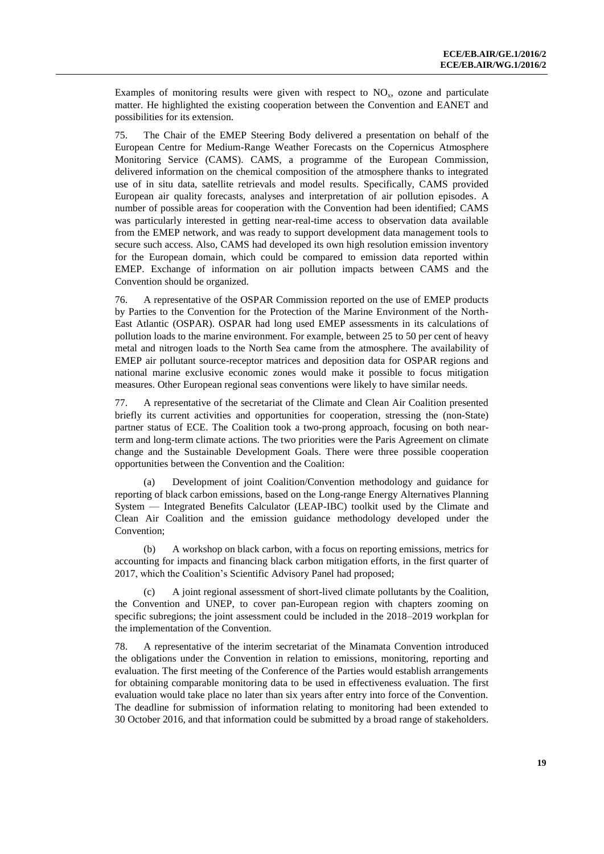Examples of monitoring results were given with respect to  $NO<sub>x</sub>$ , ozone and particulate matter. He highlighted the existing cooperation between the Convention and EANET and possibilities for its extension.

75. The Chair of the EMEP Steering Body delivered a presentation on behalf of the European Centre for Medium-Range Weather Forecasts on the Copernicus Atmosphere Monitoring Service (CAMS). CAMS, a programme of the European Commission, delivered information on the chemical composition of the atmosphere thanks to integrated use of in situ data, satellite retrievals and model results. Specifically, CAMS provided European air quality forecasts, analyses and interpretation of air pollution episodes. A number of possible areas for cooperation with the Convention had been identified; CAMS was particularly interested in getting near-real-time access to observation data available from the EMEP network, and was ready to support development data management tools to secure such access. Also, CAMS had developed its own high resolution emission inventory for the European domain, which could be compared to emission data reported within EMEP. Exchange of information on air pollution impacts between CAMS and the Convention should be organized.

76. A representative of the OSPAR Commission reported on the use of EMEP products by Parties to the Convention for the Protection of the Marine Environment of the North-East Atlantic (OSPAR). OSPAR had long used EMEP assessments in its calculations of pollution loads to the marine environment. For example, between 25 to 50 per cent of heavy metal and nitrogen loads to the North Sea came from the atmosphere. The availability of EMEP air pollutant source-receptor matrices and deposition data for OSPAR regions and national marine exclusive economic zones would make it possible to focus mitigation measures. Other European regional seas conventions were likely to have similar needs.

77. A representative of the secretariat of the Climate and Clean Air Coalition presented briefly its current activities and opportunities for cooperation, stressing the (non-State) partner status of ECE. The Coalition took a two-prong approach, focusing on both nearterm and long-term climate actions. The two priorities were the Paris Agreement on climate change and the Sustainable Development Goals. There were three possible cooperation opportunities between the Convention and the Coalition:

(a) Development of joint Coalition/Convention methodology and guidance for reporting of black carbon emissions, based on the Long-range Energy Alternatives Planning System — Integrated Benefits Calculator (LEAP-IBC) toolkit used by the Climate and Clean Air Coalition and the emission guidance methodology developed under the Convention;

(b) A workshop on black carbon, with a focus on reporting emissions, metrics for accounting for impacts and financing black carbon mitigation efforts, in the first quarter of 2017, which the Coalition's Scientific Advisory Panel had proposed;

(c) A joint regional assessment of short-lived climate pollutants by the Coalition, the Convention and UNEP, to cover pan-European region with chapters zooming on specific subregions; the joint assessment could be included in the 2018–2019 workplan for the implementation of the Convention.

78. A representative of the interim secretariat of the Minamata Convention introduced the obligations under the Convention in relation to emissions, monitoring, reporting and evaluation. The first meeting of the Conference of the Parties would establish arrangements for obtaining comparable monitoring data to be used in effectiveness evaluation. The first evaluation would take place no later than six years after entry into force of the Convention. The deadline for submission of information relating to monitoring had been extended to 30 October 2016, and that information could be submitted by a broad range of stakeholders.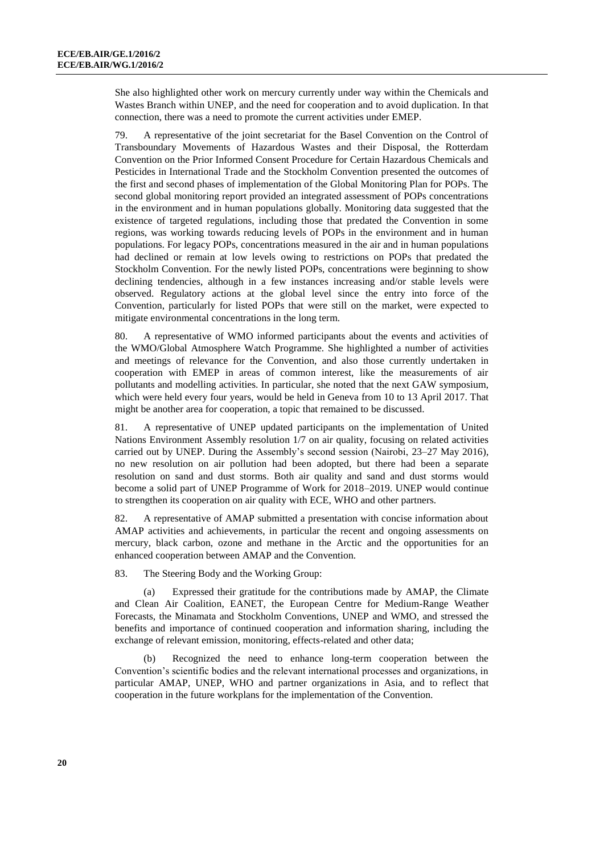She also highlighted other work on mercury currently under way within the Chemicals and Wastes Branch within UNEP, and the need for cooperation and to avoid duplication. In that connection, there was a need to promote the current activities under EMEP.

79. A representative of the joint secretariat for the Basel Convention on the Control of Transboundary Movements of Hazardous Wastes and their Disposal, the Rotterdam Convention on the Prior Informed Consent Procedure for Certain Hazardous Chemicals and Pesticides in International Trade and the Stockholm Convention presented the outcomes of the first and second phases of implementation of the Global Monitoring Plan for POPs. The second global monitoring report provided an integrated assessment of POPs concentrations in the environment and in human populations globally. Monitoring data suggested that the existence of targeted regulations, including those that predated the Convention in some regions, was working towards reducing levels of POPs in the environment and in human populations. For legacy POPs, concentrations measured in the air and in human populations had declined or remain at low levels owing to restrictions on POPs that predated the Stockholm Convention. For the newly listed POPs, concentrations were beginning to show declining tendencies, although in a few instances increasing and/or stable levels were observed. Regulatory actions at the global level since the entry into force of the Convention, particularly for listed POPs that were still on the market, were expected to mitigate environmental concentrations in the long term.

80. A representative of WMO informed participants about the events and activities of the WMO/Global Atmosphere Watch Programme. She highlighted a number of activities and meetings of relevance for the Convention, and also those currently undertaken in cooperation with EMEP in areas of common interest, like the measurements of air pollutants and modelling activities. In particular, she noted that the next GAW symposium, which were held every four years, would be held in Geneva from 10 to 13 April 2017. That might be another area for cooperation, a topic that remained to be discussed.

81. A representative of UNEP updated participants on the implementation of United Nations Environment Assembly resolution 1/7 on air quality, focusing on related activities carried out by UNEP. During the Assembly's second session (Nairobi, 23–27 May 2016), no new resolution on air pollution had been adopted, but there had been a separate resolution on sand and dust storms. Both air quality and sand and dust storms would become a solid part of UNEP Programme of Work for 2018–2019. UNEP would continue to strengthen its cooperation on air quality with ECE, WHO and other partners.

82. A representative of AMAP submitted a presentation with concise information about AMAP activities and achievements, in particular the recent and ongoing assessments on mercury, black carbon, ozone and methane in the Arctic and the opportunities for an enhanced cooperation between AMAP and the Convention.

83. The Steering Body and the Working Group:

(a) Expressed their gratitude for the contributions made by AMAP, the Climate and Clean Air Coalition, EANET, the European Centre for Medium-Range Weather Forecasts, the Minamata and Stockholm Conventions, UNEP and WMO, and stressed the benefits and importance of continued cooperation and information sharing, including the exchange of relevant emission, monitoring, effects-related and other data;

(b) Recognized the need to enhance long-term cooperation between the Convention's scientific bodies and the relevant international processes and organizations, in particular AMAP, UNEP, WHO and partner organizations in Asia, and to reflect that cooperation in the future workplans for the implementation of the Convention.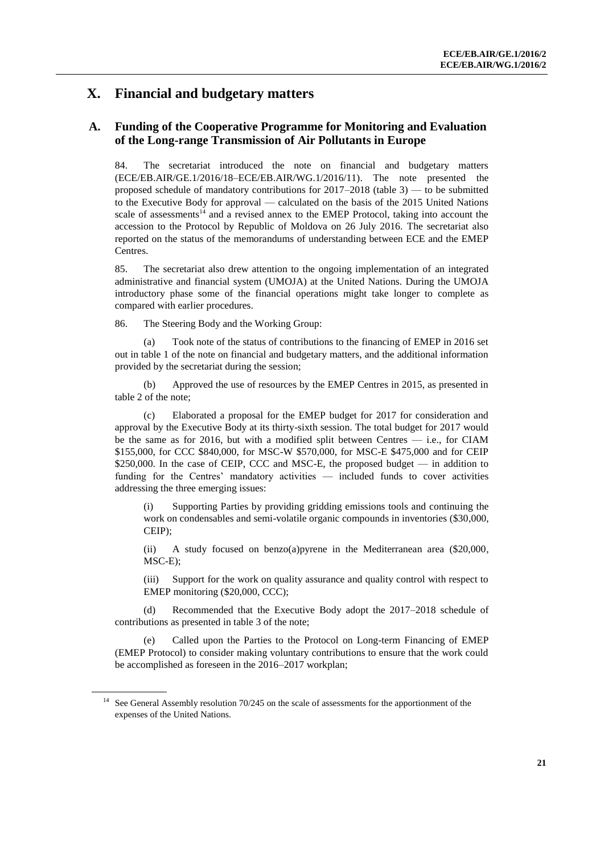## **X. Financial and budgetary matters**

### **A. Funding of the Cooperative Programme for Monitoring and Evaluation of the Long-range Transmission of Air Pollutants in Europe**

84. The secretariat introduced the note on financial and budgetary matters (ECE/EB.AIR/GE.1/2016/18–ECE/EB.AIR/WG.1/2016/11). The note presented the proposed schedule of mandatory contributions for 2017–2018 (table 3) — to be submitted to the Executive Body for approval — calculated on the basis of the 2015 United Nations scale of assessments<sup>14</sup> and a revised annex to the EMEP Protocol, taking into account the accession to the Protocol by Republic of Moldova on 26 July 2016. The secretariat also reported on the status of the memorandums of understanding between ECE and the EMEP Centres.

85. The secretariat also drew attention to the ongoing implementation of an integrated administrative and financial system (UMOJA) at the United Nations. During the UMOJA introductory phase some of the financial operations might take longer to complete as compared with earlier procedures.

86. The Steering Body and the Working Group:

(a) Took note of the status of contributions to the financing of EMEP in 2016 set out in table 1 of the note on financial and budgetary matters, and the additional information provided by the secretariat during the session;

(b) Approved the use of resources by the EMEP Centres in 2015, as presented in table 2 of the note;

(c) Elaborated a proposal for the EMEP budget for 2017 for consideration and approval by the Executive Body at its thirty-sixth session. The total budget for 2017 would be the same as for 2016, but with a modified split between Centres — i.e., for CIAM \$155,000, for CCC \$840,000, for MSC-W \$570,000, for MSC-E \$475,000 and for CEIP \$250,000. In the case of CEIP, CCC and MSC-E, the proposed budget — in addition to funding for the Centres' mandatory activities — included funds to cover activities addressing the three emerging issues:

(i) Supporting Parties by providing gridding emissions tools and continuing the work on condensables and semi-volatile organic compounds in inventories (\$30,000, CEIP);

(ii) A study focused on benzo(a)pyrene in the Mediterranean area (\$20,000, MSC-E);

(iii) Support for the work on quality assurance and quality control with respect to EMEP monitoring (\$20,000, CCC);

(d) Recommended that the Executive Body adopt the 2017–2018 schedule of contributions as presented in table 3 of the note;

(e) Called upon the Parties to the Protocol on Long-term Financing of EMEP (EMEP Protocol) to consider making voluntary contributions to ensure that the work could be accomplished as foreseen in the 2016–2017 workplan;

See General Assembly resolution 70/245 on the scale of assessments for the apportionment of the expenses of the United Nations.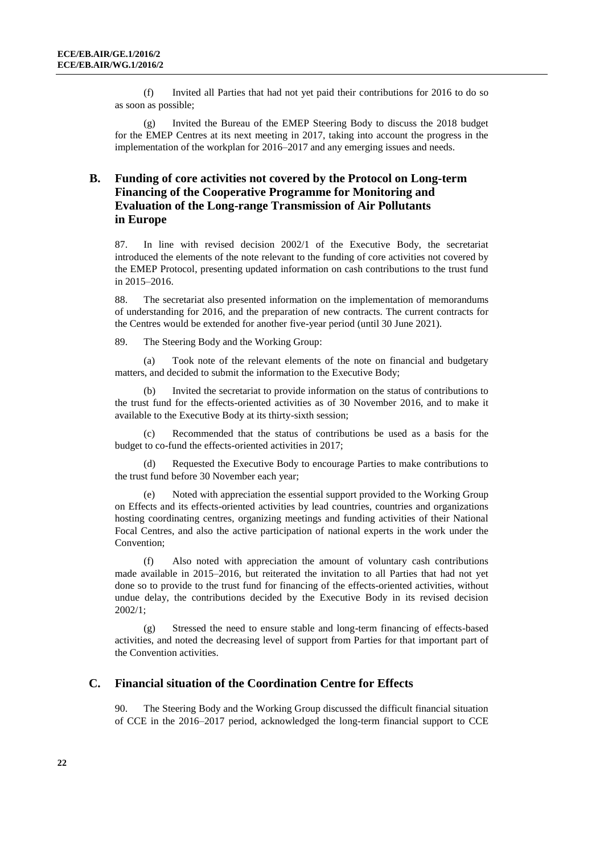(f) Invited all Parties that had not yet paid their contributions for 2016 to do so as soon as possible;

(g) Invited the Bureau of the EMEP Steering Body to discuss the 2018 budget for the EMEP Centres at its next meeting in 2017, taking into account the progress in the implementation of the workplan for 2016–2017 and any emerging issues and needs.

### **B. Funding of core activities not covered by the Protocol on Long-term Financing of the Cooperative Programme for Monitoring and Evaluation of the Long-range Transmission of Air Pollutants in Europe**

87. In line with revised decision 2002/1 of the Executive Body, the secretariat introduced the elements of the note relevant to the funding of core activities not covered by the EMEP Protocol, presenting updated information on cash contributions to the trust fund in 2015–2016.

88. The secretariat also presented information on the implementation of memorandums of understanding for 2016, and the preparation of new contracts. The current contracts for the Centres would be extended for another five-year period (until 30 June 2021).

89. The Steering Body and the Working Group:

(a) Took note of the relevant elements of the note on financial and budgetary matters, and decided to submit the information to the Executive Body;

(b) Invited the secretariat to provide information on the status of contributions to the trust fund for the effects-oriented activities as of 30 November 2016, and to make it available to the Executive Body at its thirty-sixth session;

(c) Recommended that the status of contributions be used as a basis for the budget to co-fund the effects-oriented activities in 2017;

(d) Requested the Executive Body to encourage Parties to make contributions to the trust fund before 30 November each year;

(e) Noted with appreciation the essential support provided to the Working Group on Effects and its effects-oriented activities by lead countries, countries and organizations hosting coordinating centres, organizing meetings and funding activities of their National Focal Centres, and also the active participation of national experts in the work under the Convention;

(f) Also noted with appreciation the amount of voluntary cash contributions made available in 2015–2016, but reiterated the invitation to all Parties that had not yet done so to provide to the trust fund for financing of the effects-oriented activities, without undue delay, the contributions decided by the Executive Body in its revised decision 2002/1;

(g) Stressed the need to ensure stable and long-term financing of effects-based activities, and noted the decreasing level of support from Parties for that important part of the Convention activities.

#### **C. Financial situation of the Coordination Centre for Effects**

90. The Steering Body and the Working Group discussed the difficult financial situation of CCE in the 2016–2017 period, acknowledged the long-term financial support to CCE